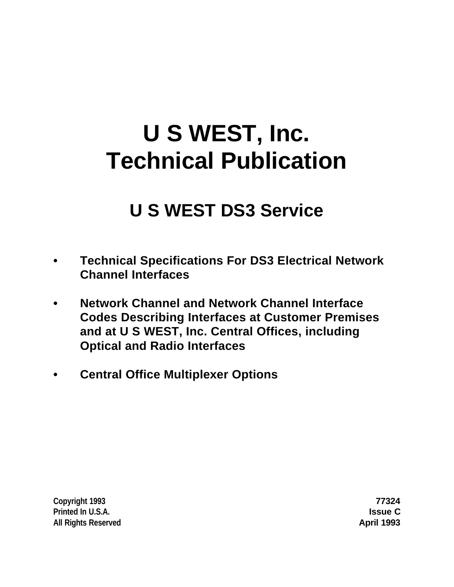# **U S WEST, Inc. Technical Publication**

## **U S WEST DS3 Service**

- **• Technical Specifications For DS3 Electrical Network Channel Interfaces**
- **• Network Channel and Network Channel Interface Codes Describing Interfaces at Customer Premises and at U S WEST, Inc. Central Offices, including Optical and Radio Interfaces**
- **• Central Office Multiplexer Options**

**Copyright 1993 77324 Printed In U.S.A. Issue C All Rights Reserved April 1993**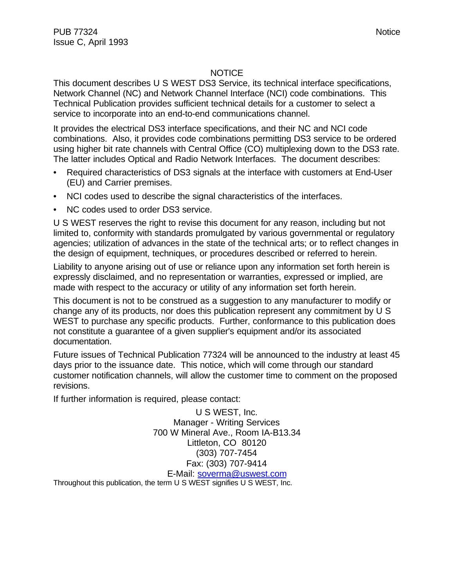#### **NOTICE**

This document describes U S WEST DS3 Service, its technical interface specifications, Network Channel (NC) and Network Channel Interface (NCI) code combinations. This Technical Publication provides sufficient technical details for a customer to select a service to incorporate into an end-to-end communications channel.

It provides the electrical DS3 interface specifications, and their NC and NCI code combinations. Also, it provides code combinations permitting DS3 service to be ordered using higher bit rate channels with Central Office (CO) multiplexing down to the DS3 rate. The latter includes Optical and Radio Network Interfaces. The document describes:

- Required characteristics of DS3 signals at the interface with customers at End-User (EU) and Carrier premises.
- NCI codes used to describe the signal characteristics of the interfaces.
- NC codes used to order DS3 service.

U S WEST reserves the right to revise this document for any reason, including but not limited to, conformity with standards promulgated by various governmental or regulatory agencies; utilization of advances in the state of the technical arts; or to reflect changes in the design of equipment, techniques, or procedures described or referred to herein.

Liability to anyone arising out of use or reliance upon any information set forth herein is expressly disclaimed, and no representation or warranties, expressed or implied, are made with respect to the accuracy or utility of any information set forth herein.

This document is not to be construed as a suggestion to any manufacturer to modify or change any of its products, nor does this publication represent any commitment by U S WEST to purchase any specific products. Further, conformance to this publication does not constitute a guarantee of a given supplier's equipment and/or its associated documentation.

Future issues of Technical Publication 77324 will be announced to the industry at least 45 days prior to the issuance date. This notice, which will come through our standard customer notification channels, will allow the customer time to comment on the proposed revisions.

If further information is required, please contact:

U S WEST, Inc. Manager - Writing Services 700 W Mineral Ave., Room IA-B13.34 Littleton, CO 80120 (303) 707-7454 Fax: (303) 707-9414

E-Mail: soverma@uswest.com Throughout this publication, the term U S WEST signifies U S WEST, Inc.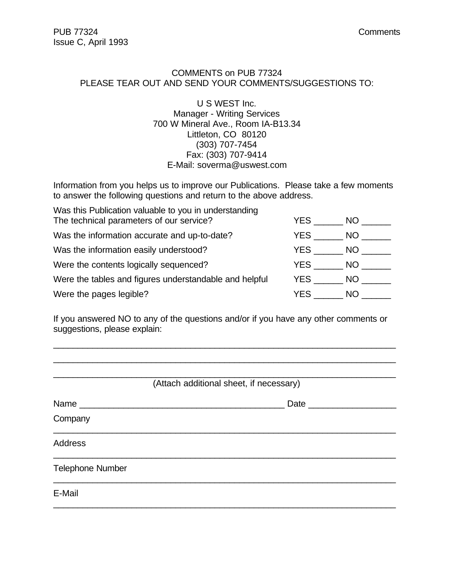#### COMMENTS on PUB 77324 PLEASE TEAR OUT AND SEND YOUR COMMENTS/SUGGESTIONS TO:

U S WEST Inc. Manager - Writing Services 700 W Mineral Ave., Room IA-B13.34 Littleton, CO 80120 (303) 707-7454 Fax: (303) 707-9414 E-Mail: soverma@uswest.com

Information from you helps us to improve our Publications. Please take a few moments to answer the following questions and return to the above address.

| Was this Publication valuable to you in understanding<br>The technical parameters of our service? | YES  | NO.       |
|---------------------------------------------------------------------------------------------------|------|-----------|
| Was the information accurate and up-to-date?                                                      | YES  | NO .      |
| Was the information easily understood?                                                            | YES  | NO.       |
| Were the contents logically sequenced?                                                            | YES  | NO.       |
| Were the tables and figures understandable and helpful                                            | YES  | NO .      |
| Were the pages legible?                                                                           | YES. | <b>NO</b> |

If you answered NO to any of the questions and/or if you have any other comments or suggestions, please explain:

\_\_\_\_\_\_\_\_\_\_\_\_\_\_\_\_\_\_\_\_\_\_\_\_\_\_\_\_\_\_\_\_\_\_\_\_\_\_\_\_\_\_\_\_\_\_\_\_\_\_\_\_\_\_\_\_\_\_\_\_\_\_\_\_\_\_\_\_\_\_

| (Attach additional sheet, if necessary) |
|-----------------------------------------|
| Date __________                         |
|                                         |
|                                         |
|                                         |
|                                         |
|                                         |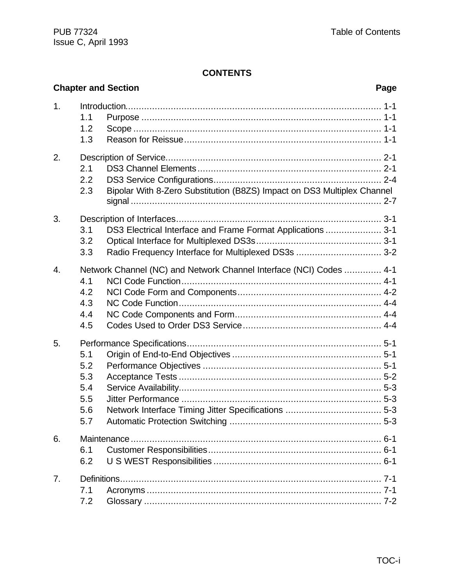|    |                                               | <b>Chapter and Section</b><br>Page                                                                                 |  |
|----|-----------------------------------------------|--------------------------------------------------------------------------------------------------------------------|--|
| 1. | 1.1<br>1.2<br>1.3                             |                                                                                                                    |  |
| 2. | 2.1<br>2.2<br>2.3                             | Bipolar With 8-Zero Substitution (B8ZS) Impact on DS3 Multiplex Channel                                            |  |
| 3. | 3.1<br>3.2<br>3.3                             | DS3 Electrical Interface and Frame Format Applications  3-1<br>Radio Frequency Interface for Multiplexed DS3s  3-2 |  |
| 4. | 4.1<br>4.2<br>4.3<br>4.4<br>4.5               | Network Channel (NC) and Network Channel Interface (NCI) Codes  4-1                                                |  |
| 5. | 5.1<br>5.2<br>5.3<br>5.4<br>5.5<br>5.6<br>5.7 |                                                                                                                    |  |
| 6. | 6.1<br>6.2                                    |                                                                                                                    |  |
| 7. | 7.1<br>7.2                                    |                                                                                                                    |  |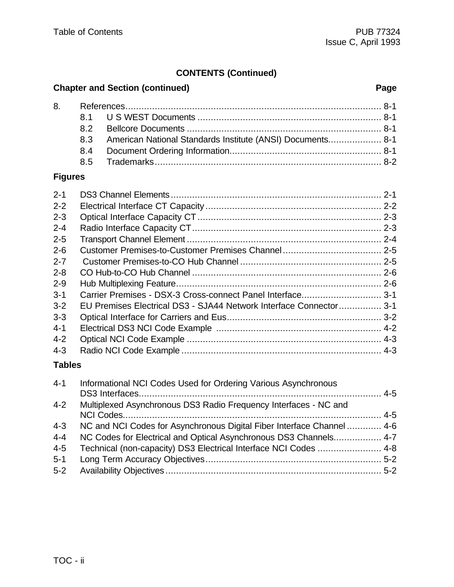### **CONTENTS (Continued)**

#### **Chapter and Section (continued) Page**

|  | 8.3 American National Standards Institute (ANSI) Documents 8-1 |  |
|--|----------------------------------------------------------------|--|
|  |                                                                |  |
|  |                                                                |  |

#### **Figures**

| $2 - 1$ |                                                                    |  |
|---------|--------------------------------------------------------------------|--|
|         |                                                                    |  |
| $2 - 2$ |                                                                    |  |
| $2 - 3$ |                                                                    |  |
| $2 - 4$ |                                                                    |  |
| $2 - 5$ |                                                                    |  |
| $2 - 6$ |                                                                    |  |
| $2 - 7$ |                                                                    |  |
| $2 - 8$ |                                                                    |  |
| $2 - 9$ |                                                                    |  |
| $3 - 1$ | Carrier Premises - DSX-3 Cross-connect Panel Interface3-1          |  |
| $3 - 2$ | EU Premises Electrical DS3 - SJA44 Network Interface Connector 3-1 |  |
| $3 - 3$ |                                                                    |  |
| $4 - 1$ |                                                                    |  |
| $4 - 2$ |                                                                    |  |
| $4 - 3$ |                                                                    |  |
| _ _ _   |                                                                    |  |

#### **Tables**

| $4 - 1$ | Informational NCI Codes Used for Ordering Various Asynchronous         |  |
|---------|------------------------------------------------------------------------|--|
| $4 - 2$ | Multiplexed Asynchronous DS3 Radio Frequency Interfaces - NC and       |  |
| $4 - 3$ | NC and NCI Codes for Asynchronous Digital Fiber Interface Channel  4-6 |  |
| $4 - 4$ | NC Codes for Electrical and Optical Asynchronous DS3 Channels 4-7      |  |
| $4 - 5$ | Technical (non-capacity) DS3 Electrical Interface NCI Codes  4-8       |  |
| $5 - 1$ |                                                                        |  |
| $5-2$   |                                                                        |  |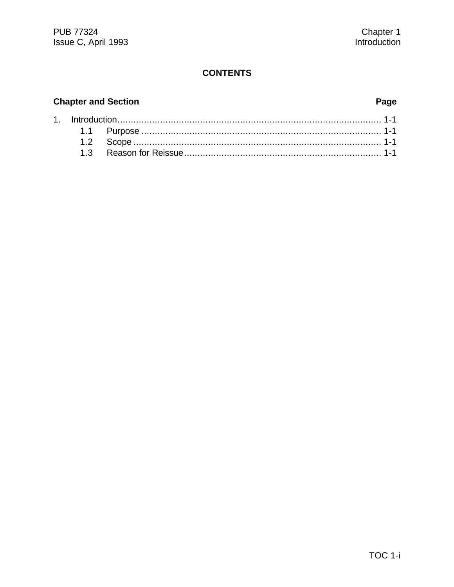#### **Chapter and Section**

#### Page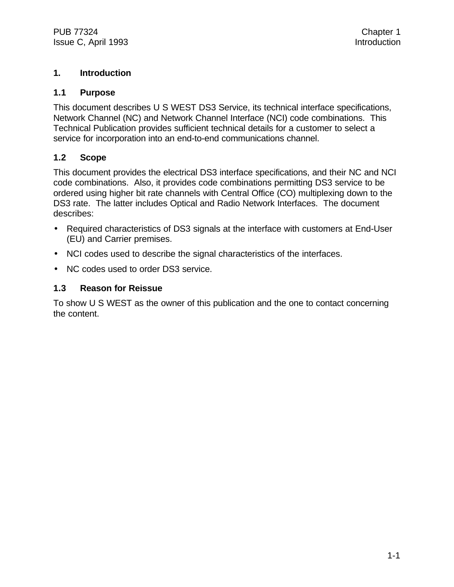#### **1. Introduction**

#### **1.1 Purpose**

This document describes U S WEST DS3 Service, its technical interface specifications, Network Channel (NC) and Network Channel Interface (NCI) code combinations. This Technical Publication provides sufficient technical details for a customer to select a service for incorporation into an end-to-end communications channel.

#### **1.2 Scope**

This document provides the electrical DS3 interface specifications, and their NC and NCI code combinations. Also, it provides code combinations permitting DS3 service to be ordered using higher bit rate channels with Central Office (CO) multiplexing down to the DS3 rate. The latter includes Optical and Radio Network Interfaces. The document describes:

- Required characteristics of DS3 signals at the interface with customers at End-User (EU) and Carrier premises.
- NCI codes used to describe the signal characteristics of the interfaces.
- NC codes used to order DS3 service.

#### **1.3 Reason for Reissue**

To show U S WEST as the owner of this publication and the one to contact concerning the content.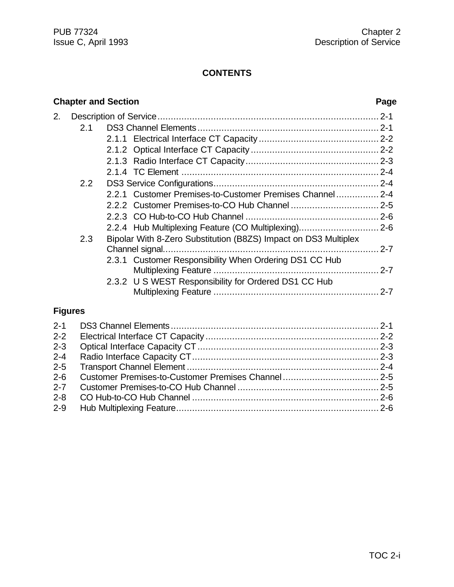|                | <b>Chapter and Section</b> |                                                                 |    |
|----------------|----------------------------|-----------------------------------------------------------------|----|
| 2.             |                            |                                                                 |    |
|                | 2.1                        |                                                                 |    |
|                |                            |                                                                 |    |
|                |                            |                                                                 |    |
|                |                            |                                                                 |    |
|                |                            |                                                                 |    |
|                | 2.2                        |                                                                 |    |
|                |                            | 2.2.1 Customer Premises-to-Customer Premises Channel 2-4        |    |
|                |                            |                                                                 |    |
|                |                            |                                                                 |    |
|                |                            | 2.2.4 Hub Multiplexing Feature (CO Multiplexing) 2-6            |    |
|                | 2.3                        | Bipolar With 8-Zero Substitution (B8ZS) Impact on DS3 Multiplex |    |
|                |                            |                                                                 |    |
|                |                            | 2.3.1 Customer Responsibility When Ordering DS1 CC Hub          |    |
|                |                            |                                                                 |    |
|                |                            | 2.3.2 U S WEST Responsibility for Ordered DS1 CC Hub            |    |
|                |                            |                                                                 |    |
| <b>Figures</b> |                            |                                                                 |    |
| $2 - 1$        |                            |                                                                 |    |
| $2 - 2$        |                            |                                                                 |    |
| າ າ            |                            | $\Omega$                                                        | റാ |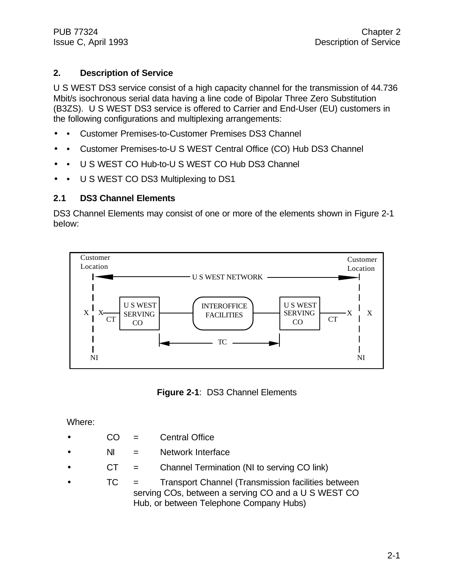#### **2. Description of Service**

U S WEST DS3 service consist of a high capacity channel for the transmission of 44.736 Mbit/s isochronous serial data having a line code of Bipolar Three Zero Substitution (B3ZS). U S WEST DS3 service is offered to Carrier and End-User (EU) customers in the following configurations and multiplexing arrangements:

- • Customer Premises-to-Customer Premises DS3 Channel
- • Customer Premises-to-U S WEST Central Office (CO) Hub DS3 Channel
- • U S WEST CO Hub-to-U S WEST CO Hub DS3 Channel
- • U S WEST CO DS3 Multiplexing to DS1

#### **2.1 DS3 Channel Elements**

DS3 Channel Elements may consist of one or more of the elements shown in Figure 2-1 below:



**Figure 2-1**: DS3 Channel Elements

Where:

- CO = Central Office
- $\bullet$  NI = Network Interface
- $\bullet$  CT = Channel Termination (NI to serving CO link)
- TC = Transport Channel (Transmission facilities between serving COs, between a serving CO and a U S WEST CO Hub, or between Telephone Company Hubs)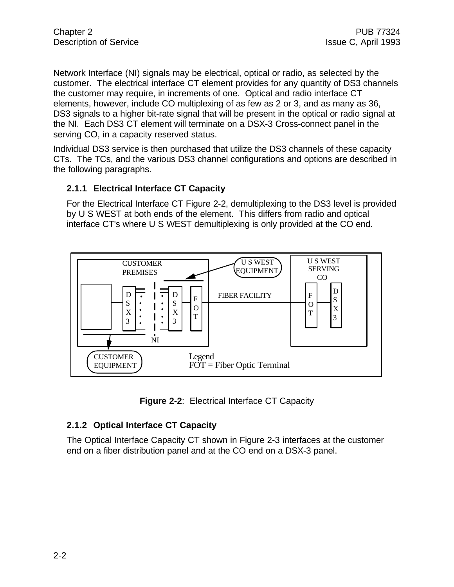Network Interface (NI) signals may be electrical, optical or radio, as selected by the customer. The electrical interface CT element provides for any quantity of DS3 channels the customer may require, in increments of one. Optical and radio interface CT elements, however, include CO multiplexing of as few as 2 or 3, and as many as 36, DS3 signals to a higher bit-rate signal that will be present in the optical or radio signal at the NI. Each DS3 CT element will terminate on a DSX-3 Cross-connect panel in the serving CO, in a capacity reserved status.

Individual DS3 service is then purchased that utilize the DS3 channels of these capacity CTs. The TCs, and the various DS3 channel configurations and options are described in the following paragraphs.

#### **2.1.1 Electrical Interface CT Capacity**

For the Electrical Interface CT Figure 2-2, demultiplexing to the DS3 level is provided by U S WEST at both ends of the element. This differs from radio and optical interface CT's where U S WEST demultiplexing is only provided at the CO end.



**Figure 2-2**: Electrical Interface CT Capacity

#### **2.1.2 Optical Interface CT Capacity**

The Optical Interface Capacity CT shown in Figure 2-3 interfaces at the customer end on a fiber distribution panel and at the CO end on a DSX-3 panel.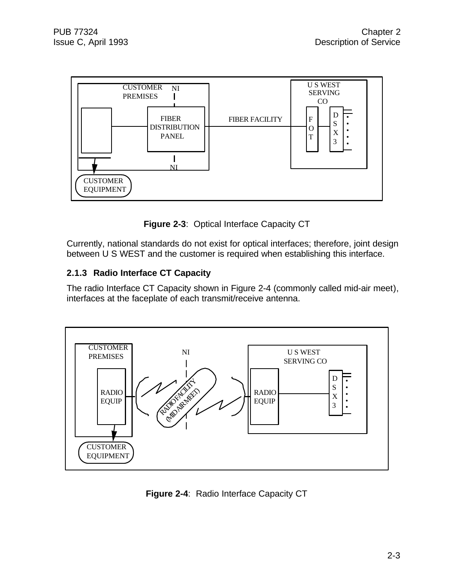

**Figure 2-3**: Optical Interface Capacity CT

Currently, national standards do not exist for optical interfaces; therefore, joint design between U S WEST and the customer is required when establishing this interface.

#### **2.1.3 Radio Interface CT Capacity**

The radio Interface CT Capacity shown in Figure 2-4 (commonly called mid-air meet), interfaces at the faceplate of each transmit/receive antenna.



**Figure 2-4**: Radio Interface Capacity CT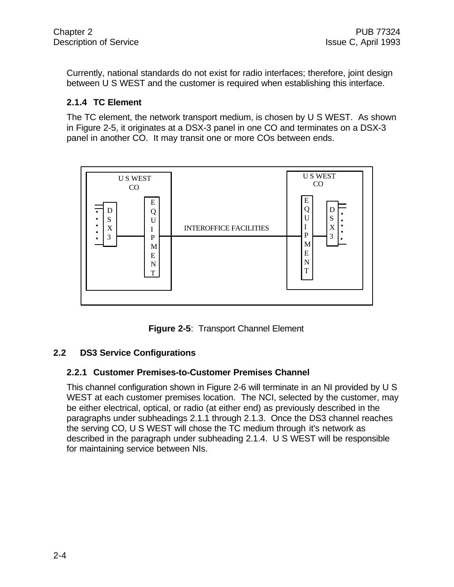Currently, national standards do not exist for radio interfaces; therefore, joint design between U S WEST and the customer is required when establishing this interface.

#### **2.1.4 TC Element**

The TC element, the network transport medium, is chosen by U S WEST. As shown in Figure 2-5, it originates at a DSX-3 panel in one CO and terminates on a DSX-3 panel in another CO. It may transit one or more COs between ends.



**Figure 2-5**: Transport Channel Element

#### **2.2 DS3 Service Configurations**

#### **2.2.1 Customer Premises-to-Customer Premises Channel**

This channel configuration shown in Figure 2-6 will terminate in an NI provided by U S WEST at each customer premises location. The NCI, selected by the customer, may be either electrical, optical, or radio (at either end) as previously described in the paragraphs under subheadings 2.1.1 through 2.1.3. Once the DS3 channel reaches the serving CO, U S WEST will chose the TC medium through it's network as described in the paragraph under subheading 2.1.4. U S WEST will be responsible for maintaining service between NIs.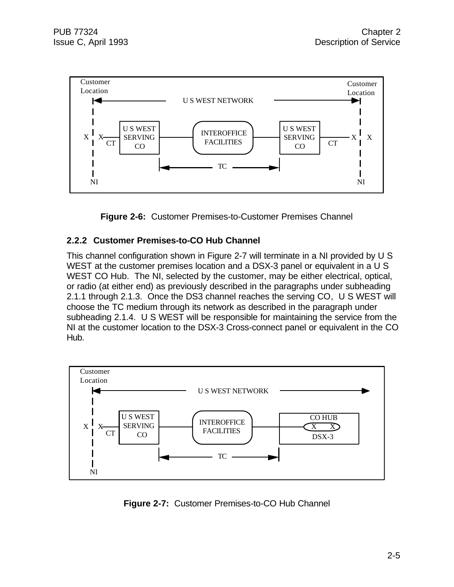



#### **2.2.2 Customer Premises-to-CO Hub Channel**

This channel configuration shown in Figure 2-7 will terminate in a NI provided by U S WEST at the customer premises location and a DSX-3 panel or equivalent in a U S WEST CO Hub. The NI, selected by the customer, may be either electrical, optical, or radio (at either end) as previously described in the paragraphs under subheading 2.1.1 through 2.1.3. Once the DS3 channel reaches the serving CO, U S WEST will choose the TC medium through its network as described in the paragraph under subheading 2.1.4. U S WEST will be responsible for maintaining the service from the NI at the customer location to the DSX-3 Cross-connect panel or equivalent in the CO Hub.



**Figure 2-7:** Customer Premises-to-CO Hub Channel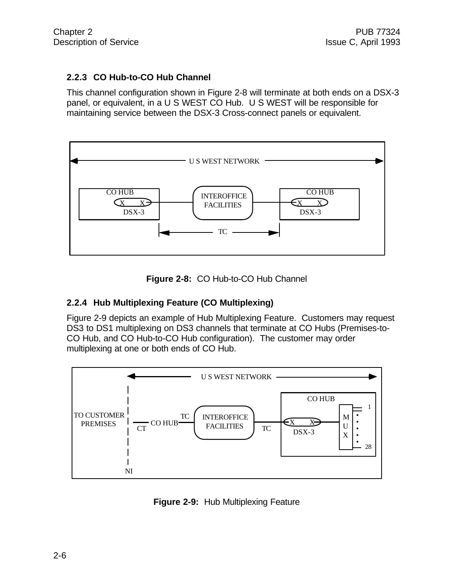#### **2.2.3 CO Hub-to-CO Hub Channel**

This channel configuration shown in Figure 2-8 will terminate at both ends on a DSX-3 panel, or equivalent, in a U S WEST CO Hub. U S WEST will be responsible for maintaining service between the DSX-3 Cross-connect panels or equivalent.



**Figure 2-8:** CO Hub-to-CO Hub Channel

#### **2.2.4 Hub Multiplexing Feature (CO Multiplexing)**

Figure 2-9 depicts an example of Hub Multiplexing Feature. Customers may request DS3 to DS1 multiplexing on DS3 channels that terminate at CO Hubs (Premises-to-CO Hub, and CO Hub-to-CO Hub configuration). The customer may order multiplexing at one or both ends of CO Hub.



**Figure 2-9:** Hub Multiplexing Feature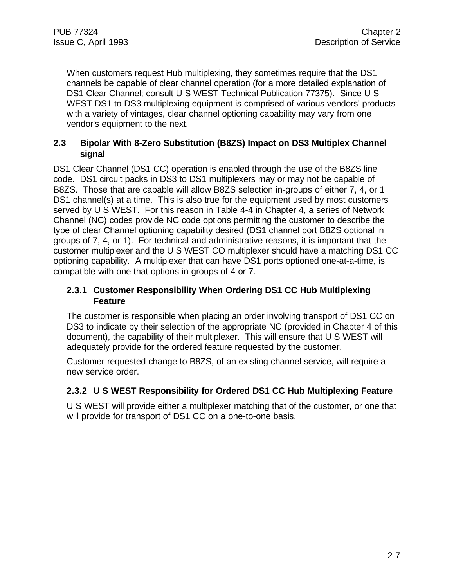When customers request Hub multiplexing, they sometimes require that the DS1 channels be capable of clear channel operation (for a more detailed explanation of DS1 Clear Channel; consult U S WEST Technical Publication 77375). Since U S WEST DS1 to DS3 multiplexing equipment is comprised of various vendors' products with a variety of vintages, clear channel optioning capability may vary from one vendor's equipment to the next.

#### **2.3 Bipolar With 8-Zero Substitution (B8ZS) Impact on DS3 Multiplex Channel signal**

DS1 Clear Channel (DS1 CC) operation is enabled through the use of the B8ZS line code. DS1 circuit packs in DS3 to DS1 multiplexers may or may not be capable of B8ZS. Those that are capable will allow B8ZS selection in-groups of either 7, 4, or 1 DS1 channel(s) at a time. This is also true for the equipment used by most customers served by U S WEST. For this reason in Table 4-4 in Chapter 4, a series of Network Channel (NC) codes provide NC code options permitting the customer to describe the type of clear Channel optioning capability desired (DS1 channel port B8ZS optional in groups of 7, 4, or 1). For technical and administrative reasons, it is important that the customer multiplexer and the U S WEST CO multiplexer should have a matching DS1 CC optioning capability. A multiplexer that can have DS1 ports optioned one-at-a-time, is compatible with one that options in-groups of 4 or 7.

#### **2.3.1 Customer Responsibility When Ordering DS1 CC Hub Multiplexing Feature**

The customer is responsible when placing an order involving transport of DS1 CC on DS3 to indicate by their selection of the appropriate NC (provided in Chapter 4 of this document), the capability of their multiplexer. This will ensure that U S WEST will adequately provide for the ordered feature requested by the customer.

Customer requested change to B8ZS, of an existing channel service, will require a new service order.

#### **2.3.2 U S WEST Responsibility for Ordered DS1 CC Hub Multiplexing Feature**

U S WEST will provide either a multiplexer matching that of the customer, or one that will provide for transport of DS1 CC on a one-to-one basis.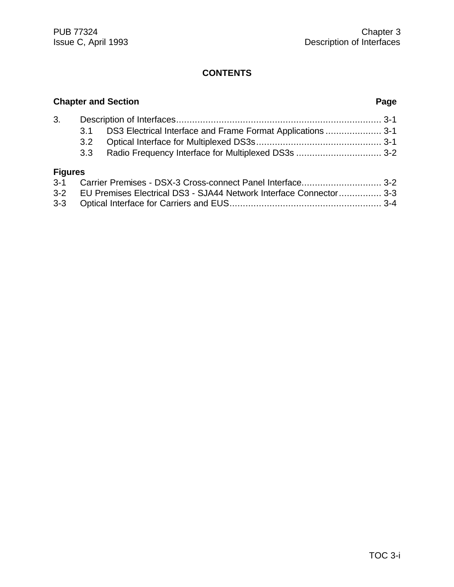### **Chapter and Section Page** 3. Description of Interfaces............................................................................. 3-1 3.1 DS3 Electrical Interface and Frame Format Applications ..................... 3-1 3.2 Optical Interface for Multiplexed DS3s............................................... 3-1 3.3 Radio Frequency Interface for Multiplexed DS3s ................................ 3-2 **Figures** 3-1 Carrier Premises - DSX-3 Cross-connect Panel Interface.............................. 3-2 3-2 EU Premises Electrical DS3 - SJA44 Network Interface Connector................ 3-3

| 3-2   EU Premises Electrical DS3 - SJA44 Network Interface Connector…………… 3-3 |  |
|-------------------------------------------------------------------------------|--|
|                                                                               |  |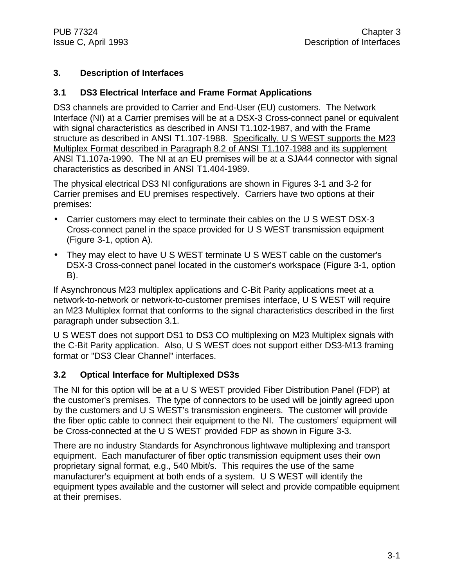#### **3. Description of Interfaces**

#### **3.1 DS3 Electrical Interface and Frame Format Applications**

DS3 channels are provided to Carrier and End-User (EU) customers. The Network Interface (NI) at a Carrier premises will be at a DSX-3 Cross-connect panel or equivalent with signal characteristics as described in ANSI T1.102-1987, and with the Frame structure as described in ANSI T1.107-1988. Specifically, U S WEST supports the M23 Multiplex Format described in Paragraph 8.2 of ANSI T1.107-1988 and its supplement ANSI T1.107a-1990. The NI at an EU premises will be at a SJA44 connector with signal characteristics as described in ANSI T1.404-1989.

The physical electrical DS3 NI configurations are shown in Figures 3-1 and 3-2 for Carrier premises and EU premises respectively. Carriers have two options at their premises:

- Carrier customers may elect to terminate their cables on the U S WEST DSX-3 Cross-connect panel in the space provided for U S WEST transmission equipment (Figure 3-1, option A).
- They may elect to have U S WEST terminate U S WEST cable on the customer's DSX-3 Cross-connect panel located in the customer's workspace (Figure 3-1, option B).

If Asynchronous M23 multiplex applications and C-Bit Parity applications meet at a network-to-network or network-to-customer premises interface, U S WEST will require an M23 Multiplex format that conforms to the signal characteristics described in the first paragraph under subsection 3.1.

U S WEST does not support DS1 to DS3 CO multiplexing on M23 Multiplex signals with the C-Bit Parity application. Also, U S WEST does not support either DS3-M13 framing format or "DS3 Clear Channel" interfaces.

#### **3.2 Optical Interface for Multiplexed DS3s**

The NI for this option will be at a U S WEST provided Fiber Distribution Panel (FDP) at the customer's premises. The type of connectors to be used will be jointly agreed upon by the customers and U S WEST's transmission engineers. The customer will provide the fiber optic cable to connect their equipment to the NI. The customers' equipment will be Cross-connected at the U S WEST provided FDP as shown in Figure 3-3.

There are no industry Standards for Asynchronous lightwave multiplexing and transport equipment. Each manufacturer of fiber optic transmission equipment uses their own proprietary signal format, e.g., 540 Mbit/s. This requires the use of the same manufacturer's equipment at both ends of a system. U S WEST will identify the equipment types available and the customer will select and provide compatible equipment at their premises.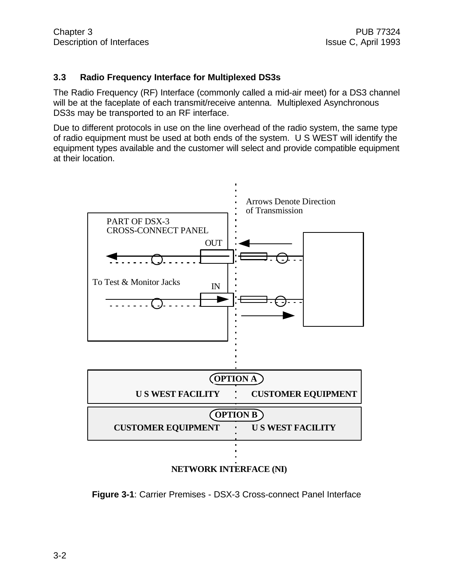#### **3.3 Radio Frequency Interface for Multiplexed DS3s**

The Radio Frequency (RF) Interface (commonly called a mid-air meet) for a DS3 channel will be at the faceplate of each transmit/receive antenna. Multiplexed Asynchronous DS3s may be transported to an RF interface.

Due to different protocols in use on the line overhead of the radio system, the same type of radio equipment must be used at both ends of the system. U S WEST will identify the equipment types available and the customer will select and provide compatible equipment at their location.



**Figure 3-1**: Carrier Premises - DSX-3 Cross-connect Panel Interface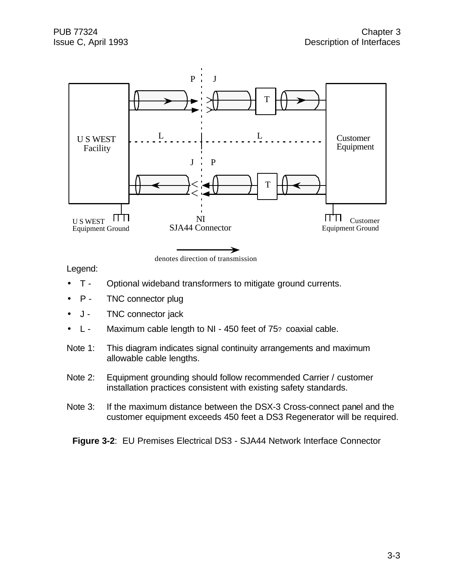

Legend:

- T Optional wideband transformers to mitigate ground currents.
- P TNC connector plug
- J TNC connector jack
- L Maximum cable length to NI 450 feet of 75? coaxial cable.
- Note 1: This diagram indicates signal continuity arrangements and maximum allowable cable lengths.
- Note 2: Equipment grounding should follow recommended Carrier / customer installation practices consistent with existing safety standards.
- Note 3: If the maximum distance between the DSX-3 Cross-connect panel and the customer equipment exceeds 450 feet a DS3 Regenerator will be required.

**Figure 3-2**: EU Premises Electrical DS3 - SJA44 Network Interface Connector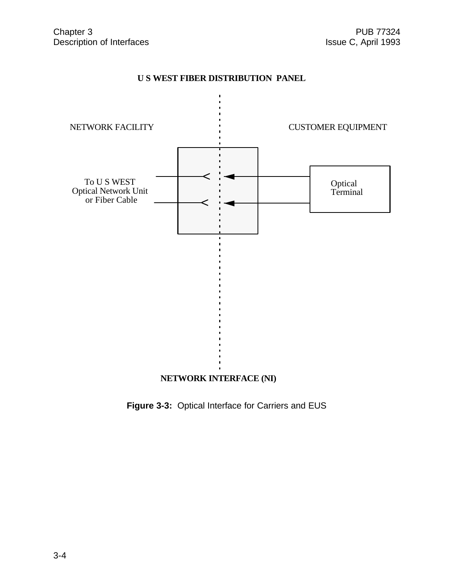#### **U S WEST FIBER DISTRIBUTION PANEL**



**Figure 3-3:** Optical Interface for Carriers and EUS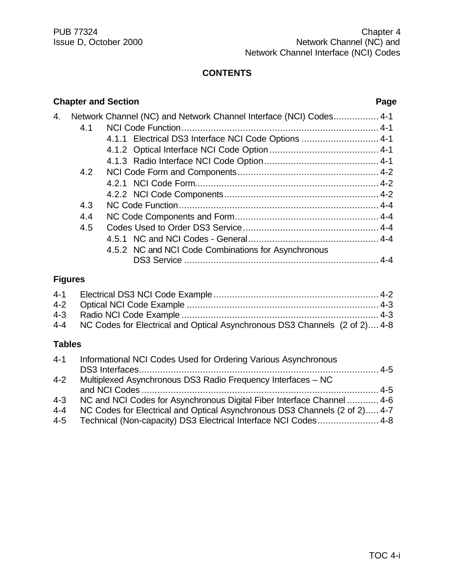|    | <b>Chapter and Section</b><br>Page |                                                                    |  |  |
|----|------------------------------------|--------------------------------------------------------------------|--|--|
| 4. |                                    | Network Channel (NC) and Network Channel Interface (NCI) Codes 4-1 |  |  |
|    | 4.1                                |                                                                    |  |  |
|    |                                    | 4.1.1 Electrical DS3 Interface NCI Code Options  4-1               |  |  |
|    |                                    |                                                                    |  |  |
|    |                                    |                                                                    |  |  |
|    | 4.2                                |                                                                    |  |  |
|    |                                    |                                                                    |  |  |
|    |                                    |                                                                    |  |  |
|    | 4.3                                |                                                                    |  |  |
|    | 4.4                                |                                                                    |  |  |
|    | 4.5                                |                                                                    |  |  |
|    |                                    |                                                                    |  |  |
|    |                                    | 4.5.2 NC and NCI Code Combinations for Asynchronous                |  |  |
|    |                                    |                                                                    |  |  |
|    | Figures                            |                                                                    |  |  |

#### **Figures**

| 4-4 NC Codes for Electrical and Optical Asynchronous DS3 Channels (2 of 2) 4-8 |  |
|--------------------------------------------------------------------------------|--|

#### **Tables**

| $4 - 1$ | Informational NCI Codes Used for Ordering Various Asynchronous             |  |
|---------|----------------------------------------------------------------------------|--|
|         |                                                                            |  |
| $4 - 2$ | Multiplexed Asynchronous DS3 Radio Frequency Interfaces – NC               |  |
|         |                                                                            |  |
| $4 - 3$ | NC and NCI Codes for Asynchronous Digital Fiber Interface Channel  4-6     |  |
| $4 - 4$ | NC Codes for Electrical and Optical Asynchronous DS3 Channels (2 of 2) 4-7 |  |
| 4-5     | Technical (Non-capacity) DS3 Electrical Interface NCI Codes 4-8            |  |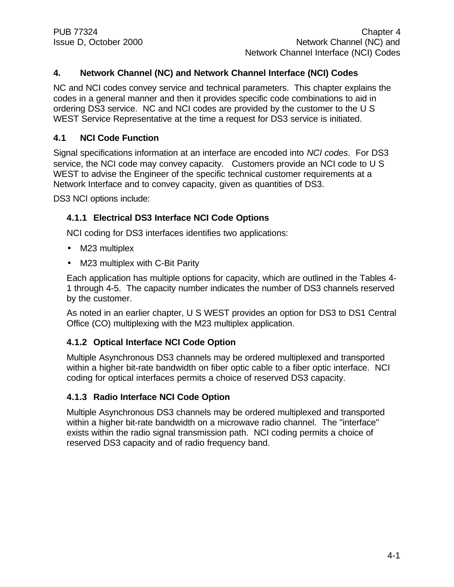#### **4. Network Channel (NC) and Network Channel Interface (NCI) Codes**

NC and NCI codes convey service and technical parameters. This chapter explains the codes in a general manner and then it provides specific code combinations to aid in ordering DS3 service. NC and NCI codes are provided by the customer to the U S WEST Service Representative at the time a request for DS3 service is initiated.

#### **4.1 NCI Code Function**

Signal specifications information at an interface are encoded into *NCI codes*. For DS3 service, the NCI code may convey capacity. Customers provide an NCI code to U S WEST to advise the Engineer of the specific technical customer requirements at a Network Interface and to convey capacity, given as quantities of DS3.

DS3 NCI options include:

#### **4.1.1 Electrical DS3 Interface NCI Code Options**

NCI coding for DS3 interfaces identifies two applications:

- M23 multiplex
- M23 multiplex with C-Bit Parity

Each application has multiple options for capacity, which are outlined in the Tables 4- 1 through 4-5. The capacity number indicates the number of DS3 channels reserved by the customer.

As noted in an earlier chapter, U S WEST provides an option for DS3 to DS1 Central Office (CO) multiplexing with the M23 multiplex application.

#### **4.1.2 Optical Interface NCI Code Option**

Multiple Asynchronous DS3 channels may be ordered multiplexed and transported within a higher bit-rate bandwidth on fiber optic cable to a fiber optic interface. NCI coding for optical interfaces permits a choice of reserved DS3 capacity.

#### **4.1.3 Radio Interface NCI Code Option**

Multiple Asynchronous DS3 channels may be ordered multiplexed and transported within a higher bit-rate bandwidth on a microwave radio channel. The "interface" exists within the radio signal transmission path. NCI coding permits a choice of reserved DS3 capacity and of radio frequency band.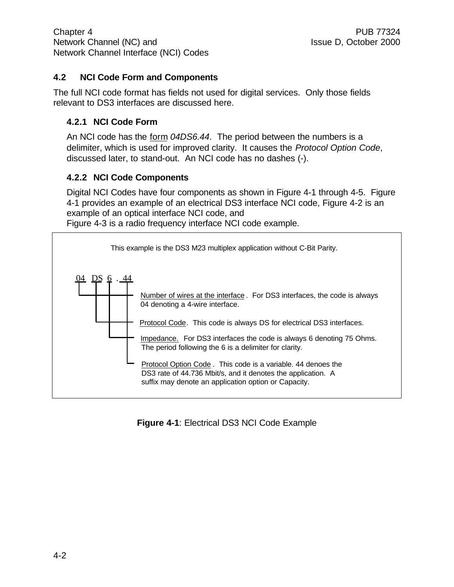#### **4.2 NCI Code Form and Components**

The full NCI code format has fields not used for digital services. Only those fields relevant to DS3 interfaces are discussed here.

#### **4.2.1 NCI Code Form**

An NCI code has the form *04DS6.44*. The period between the numbers is a delimiter, which is used for improved clarity. It causes the *Protocol Option Code*, discussed later, to stand-out. An NCI code has no dashes (-).

#### **4.2.2 NCI Code Components**

Digital NCI Codes have four components as shown in Figure 4-1 through 4-5. Figure 4-1 provides an example of an electrical DS3 interface NCI code, Figure 4-2 is an example of an optical interface NCI code, and Figure 4-3 is a radio frequency interface NCI code example.

04 DS 6 . 44 This example is the DS3 M23 multiplex application without C-Bit Parity. Impedance. For DS3 interfaces the code is always 6 denoting 75 Ohms. The period following the 6 is a delimiter for clarity. Protocol Code. This code is always DS for electrical DS3 interfaces. Number of wires at the interface. For DS3 interfaces, the code is always 04 denoting a 4-wire interface. Protocol Option Code . This code is a variable. 44 denoes the DS3 rate of 44.736 Mbit/s, and it denotes the application. A suffix may denote an application option or Capacity.

#### **Figure 4-1**: Electrical DS3 NCI Code Example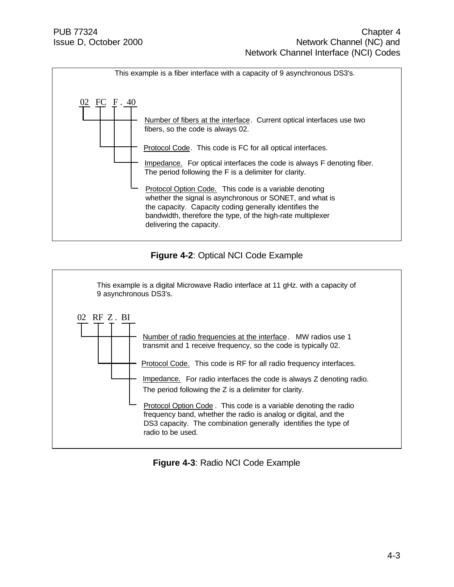

#### **Figure 4-2**: Optical NCI Code Example



#### **Figure 4-3**: Radio NCI Code Example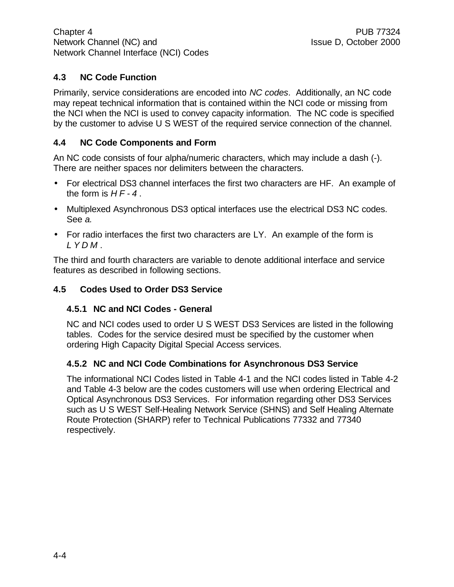#### **4.3 NC Code Function**

Primarily, service considerations are encoded into *NC codes*. Additionally, an NC code may repeat technical information that is contained within the NCI code or missing from the NCI when the NCI is used to convey capacity information. The NC code is specified by the customer to advise U S WEST of the required service connection of the channel.

#### **4.4 NC Code Components and Form**

An NC code consists of four alpha/numeric characters, which may include a dash (-). There are neither spaces nor delimiters between the characters.

- For electrical DS3 channel interfaces the first two characters are HF. An example of the form is *HF-4* .
- Multiplexed Asynchronous DS3 optical interfaces use the electrical DS3 NC codes. See *a.*
- For radio interfaces the first two characters are LY. An example of the form is *LYDM* .

The third and fourth characters are variable to denote additional interface and service features as described in following sections.

#### **4.5 Codes Used to Order DS3 Service**

#### **4.5.1 NC and NCI Codes - General**

NC and NCI codes used to order U S WEST DS3 Services are listed in the following tables. Codes for the service desired must be specified by the customer when ordering High Capacity Digital Special Access services.

#### **4.5.2 NC and NCI Code Combinations for Asynchronous DS3 Service**

The informational NCI Codes listed in Table 4-1 and the NCI codes listed in Table 4-2 and Table 4-3 below are the codes customers will use when ordering Electrical and Optical Asynchronous DS3 Services. For information regarding other DS3 Services such as U S WEST Self-Healing Network Service (SHNS) and Self Healing Alternate Route Protection (SHARP) refer to Technical Publications 77332 and 77340 respectively.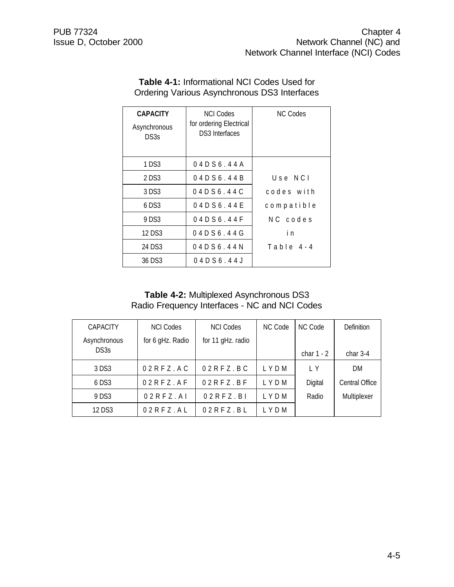| <b>CAPACITY</b><br>Asynchronous<br>DS3s | <b>NCLCodes</b><br>for ordering Electrical<br>DS3 Interfaces | <b>NC Codes</b> |
|-----------------------------------------|--------------------------------------------------------------|-----------------|
| 1 DS3                                   | 04 D S 6 . 44 A                                              |                 |
| 2 DS3                                   | 04D56.44B                                                    | $U$ se NCI      |
| 3 DS3                                   | 04D56.44C                                                    | codes with      |
| 6 DS3                                   | 04D56.44E                                                    | compatible      |
| 9 DS3                                   | 04D56.44F                                                    | NC codes        |
| 12 DS3                                  | 04D56.44G                                                    | i n             |
| 24 DS3                                  | 04D56.44N                                                    | Table 4-4       |
| 36 DS3                                  | 04D56.44J                                                    |                 |

#### **Table 4-1:** Informational NCI Codes Used for Ordering Various Asynchronous DS3 Interfaces

#### **Table 4-2:** Multiplexed Asynchronous DS3 Radio Frequency Interfaces - NC and NCI Codes

| <b>CAPACITY</b> | <b>NCI Codes</b>   | <b>NCI Codes</b>  | NC Code | NC Code      | Definition     |
|-----------------|--------------------|-------------------|---------|--------------|----------------|
| Asynchronous    | for 6 gHz. Radio   | for 11 gHz. radio |         |              |                |
| DS3s            |                    |                   |         | char $1 - 2$ | char $3-4$     |
| 3 DS3           | $02$ R F Z . A C   | $02RFZ$ .BC       | LYDM    | IY           | DM             |
| $6$ DS3         | $02$ R F Z . A F   | $02RFZ$ . BF      | LYDM    | Digital      | Central Office |
| 9 DS3           | $02$ R F Z . A I   | 02RFZ.B1          | LYDM    | Radio        | Multiplexer    |
| 12 DS3          | $02$ R F Z $.$ A L | $02RFZ$ .BL       | LYDM    |              |                |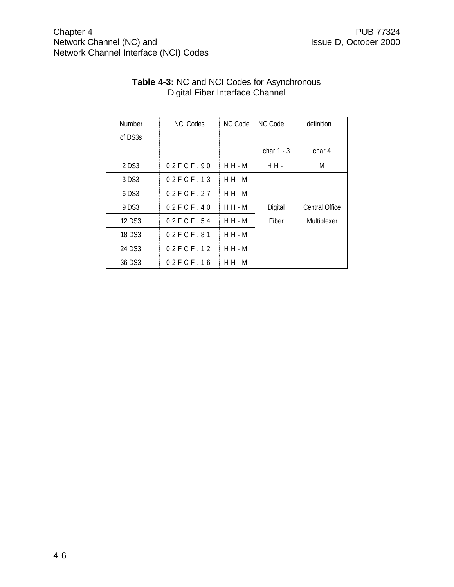#### Chapter 4 PUB 77324<br>
Network Channel (NC) and Network Channel (NC) and Retwork Channel (NC) and Retwork Channel (NC) and Network Channel (NC) and Network Channel Interface (NCI) Codes

| Number  | <b>NCI Codes</b> | NC Code   | NC Code      | definition     |
|---------|------------------|-----------|--------------|----------------|
| of DS3s |                  |           |              |                |
|         |                  |           | char $1 - 3$ | char 4         |
| 2 DS3   | 02FCF.90         | $H H - M$ | H H -        | M              |
| 3 DS3   | 02FCF.13         | $H H - M$ |              |                |
| $6$ DS3 | 02FCF.27         | $H H - M$ |              |                |
| 9 DS3   | 02FCF.40         | $H H - M$ | Digital      | Central Office |
| 12 DS3  | 02FCF.54         | $H H - M$ | Fiber        | Multiplexer    |
| 18 DS3  | 02FCF.81         | $H H - M$ |              |                |
| 24 DS3  | 02FCF.12         | $H H - M$ |              |                |
| 36 DS3  | 02FCF.16         | $H H - M$ |              |                |

#### **Table 4-3:** NC and NCI Codes for Asynchronous Digital Fiber Interface Channel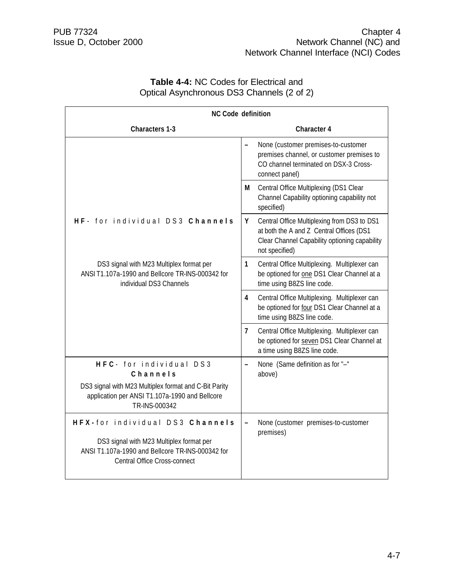| <b>Table 4-4: NC Codes for Electrical and</b> |  |
|-----------------------------------------------|--|
| Optical Asynchronous DS3 Channels (2 of 2)    |  |

| <b>NC Code definition</b>                                                                                                                                       |                                                                                                                                                                 |  |
|-----------------------------------------------------------------------------------------------------------------------------------------------------------------|-----------------------------------------------------------------------------------------------------------------------------------------------------------------|--|
| <b>Characters 1-3</b>                                                                                                                                           | <b>Character 4</b>                                                                                                                                              |  |
|                                                                                                                                                                 | None (customer premises-to-customer<br>premises channel, or customer premises to<br>CO channel terminated on DSX-3 Cross-<br>connect panel)                     |  |
|                                                                                                                                                                 | Central Office Multiplexing (DS1 Clear<br>М<br>Channel Capability optioning capability not<br>specified)                                                        |  |
| HF- for individual DS3 Channels                                                                                                                                 | Y<br>Central Office Multiplexing from DS3 to DS1<br>at both the A and Z Central Offices (DS1<br>Clear Channel Capability optioning capability<br>not specified) |  |
| DS3 signal with M23 Multiplex format per<br>ANSI T1.107a-1990 and Bellcore TR-INS-000342 for<br>individual DS3 Channels                                         | $\mathbf{1}$<br>Central Office Multiplexing. Multiplexer can<br>be optioned for one DS1 Clear Channel at a<br>time using B8ZS line code.                        |  |
|                                                                                                                                                                 | Central Office Multiplexing. Multiplexer can<br>4<br>be optioned for four DS1 Clear Channel at a<br>time using B8ZS line code.                                  |  |
|                                                                                                                                                                 | $\overline{7}$<br>Central Office Multiplexing. Multiplexer can<br>be optioned for seven DS1 Clear Channel at<br>a time using B8ZS line code.                    |  |
| HFC- for individual DS3<br>Channels<br>DS3 signal with M23 Multiplex format and C-Bit Parity<br>application per ANSI T1.107a-1990 and Bellcore<br>TR-INS-000342 | None (Same definition as for "-"<br>$\overline{\phantom{0}}$<br>above)                                                                                          |  |
| HFX-for individual DS3 Channels<br>DS3 signal with M23 Multiplex format per<br>ANSI T1.107a-1990 and Bellcore TR-INS-000342 for<br>Central Office Cross-connect | None (customer premises-to-customer<br>premises)                                                                                                                |  |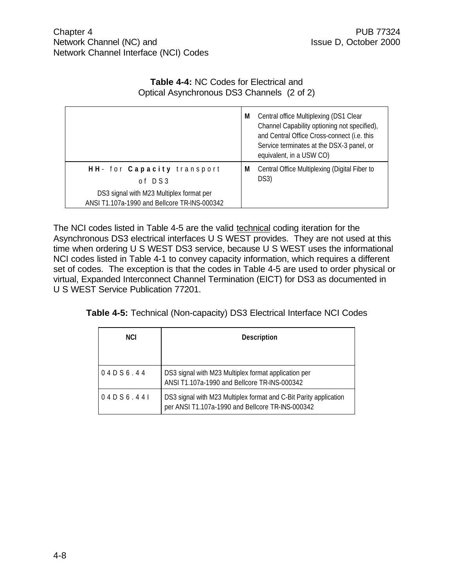#### **Table 4-4:** NC Codes for Electrical and Optical Asynchronous DS3 Channels (2 of 2)

|                                                                                          | M | Central office Multiplexing (DS1 Clear<br>Channel Capability optioning not specified),<br>and Central Office Cross-connect (i.e. this<br>Service terminates at the DSX-3 panel, or<br>equivalent, in a USW CO) |
|------------------------------------------------------------------------------------------|---|----------------------------------------------------------------------------------------------------------------------------------------------------------------------------------------------------------------|
| HH- for Capacity transport<br>of DS3                                                     | M | Central Office Multiplexing (Digital Fiber to<br>DS3)                                                                                                                                                          |
| DS3 signal with M23 Multiplex format per<br>ANSI T1.107a-1990 and Bellcore TR-INS-000342 |   |                                                                                                                                                                                                                |

The NCI codes listed in Table 4-5 are the valid technical coding iteration for the Asynchronous DS3 electrical interfaces U S WEST provides. They are not used at this time when ordering U S WEST DS3 service, because U S WEST uses the informational NCI codes listed in Table 4-1 to convey capacity information, which requires a different set of codes. The exception is that the codes in Table 4-5 are used to order physical or virtual, Expanded Interconnect Channel Termination (EICT) for DS3 as documented in U S WEST Service Publication 77201.

| Table 4-5: Technical (Non-capacity) DS3 Electrical Interface NCI Codes |
|------------------------------------------------------------------------|
|------------------------------------------------------------------------|

| <b>NCI</b> | <b>Description</b>                                                                                                    |  |
|------------|-----------------------------------------------------------------------------------------------------------------------|--|
|            |                                                                                                                       |  |
| 04D56.44   | DS3 signal with M23 Multiplex format application per<br>ANSI T1.107a-1990 and Bellcore TR-INS-000342                  |  |
| 04D56.441  | DS3 signal with M23 Multiplex format and C-Bit Parity application<br>per ANSI T1.107a-1990 and Bellcore TR-INS-000342 |  |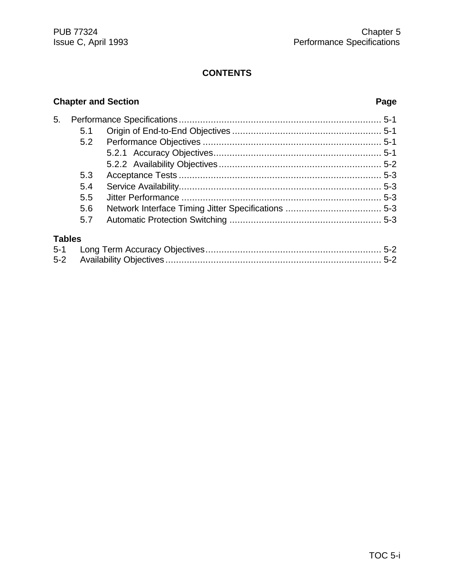#### **Chapter and Section Page**

| 5.            |     |  |
|---------------|-----|--|
|               | 5.1 |  |
|               | 5.2 |  |
|               |     |  |
|               |     |  |
|               | 5.3 |  |
|               | 5.4 |  |
|               | 5.5 |  |
|               | 5.6 |  |
|               | 5.7 |  |
| <b>Tables</b> |     |  |
| $5 - 1$       |     |  |
| $5 - 2$       |     |  |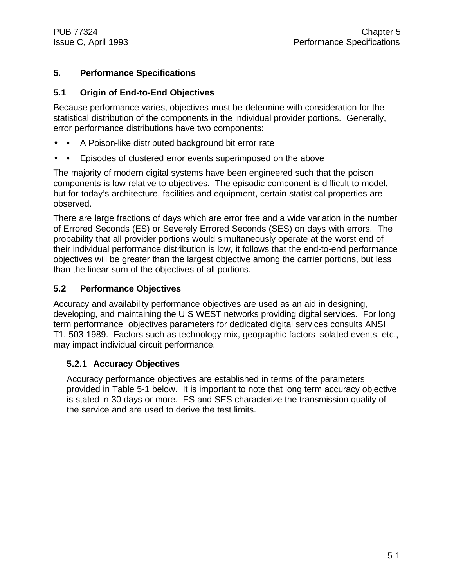#### **5. Performance Specifications**

#### **5.1 Origin of End-to-End Objectives**

Because performance varies, objectives must be determine with consideration for the statistical distribution of the components in the individual provider portions. Generally, error performance distributions have two components:

- A Poison-like distributed background bit error rate
- Episodes of clustered error events superimposed on the above

The majority of modern digital systems have been engineered such that the poison components is low relative to objectives. The episodic component is difficult to model, but for today's architecture, facilities and equipment, certain statistical properties are observed.

There are large fractions of days which are error free and a wide variation in the number of Errored Seconds (ES) or Severely Errored Seconds (SES) on days with errors. The probability that all provider portions would simultaneously operate at the worst end of their individual performance distribution is low, it follows that the end-to-end performance objectives will be greater than the largest objective among the carrier portions, but less than the linear sum of the objectives of all portions.

#### **5.2 Performance Objectives**

Accuracy and availability performance objectives are used as an aid in designing, developing, and maintaining the U S WEST networks providing digital services. For long term performance objectives parameters for dedicated digital services consults ANSI T1. 503-1989. Factors such as technology mix, geographic factors isolated events, etc., may impact individual circuit performance.

#### **5.2.1 Accuracy Objectives**

Accuracy performance objectives are established in terms of the parameters provided in Table 5-1 below. It is important to note that long term accuracy objective is stated in 30 days or more. ES and SES characterize the transmission quality of the service and are used to derive the test limits.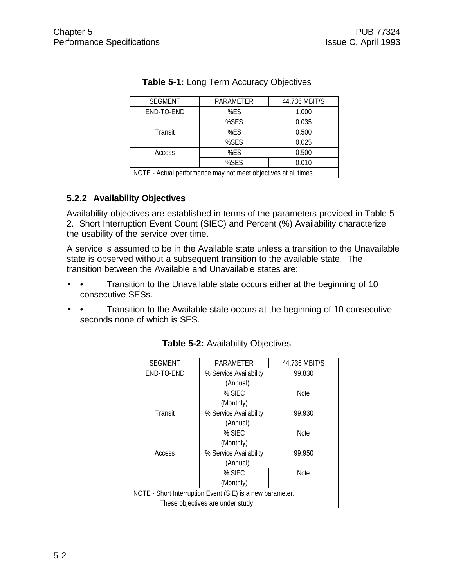| <b>SEGMENT</b>                                                  | PARAMETER | 44.736 MBIT/S |  |  |
|-----------------------------------------------------------------|-----------|---------------|--|--|
| END-TO-END                                                      | %ES       | 1.000         |  |  |
|                                                                 | %SES      | 0.035         |  |  |
| Transit                                                         | %ES       | 0.500         |  |  |
|                                                                 | %SES      | 0.025         |  |  |
| Access                                                          | %ES       | 0.500         |  |  |
|                                                                 | 0.010     |               |  |  |
| NOTE - Actual performance may not meet objectives at all times. |           |               |  |  |

#### **Table 5-1:** Long Term Accuracy Objectives

#### **5.2.2 Availability Objectives**

Availability objectives are established in terms of the parameters provided in Table 5- 2. Short Interruption Event Count (SIEC) and Percent (%) Availability characterize the usability of the service over time.

A service is assumed to be in the Available state unless a transition to the Unavailable state is observed without a subsequent transition to the available state. The transition between the Available and Unavailable states are:

- • Transition to the Unavailable state occurs either at the beginning of 10 consecutive SESs.
- • Transition to the Available state occurs at the beginning of 10 consecutive seconds none of which is SES.

| <b>SEGMENT</b>                                            | PARAMETER              | 44.736 MBIT/S |  |  |
|-----------------------------------------------------------|------------------------|---------------|--|--|
| END-TO-END                                                | % Service Availability | 99.830        |  |  |
|                                                           | (Annual)               |               |  |  |
|                                                           | % SIEC                 | <b>Note</b>   |  |  |
|                                                           | (Monthly)              |               |  |  |
| Transit                                                   | % Service Availability | 99.930        |  |  |
|                                                           | (Annual)               |               |  |  |
|                                                           | $%$ SIEC               | <b>Note</b>   |  |  |
|                                                           | (Monthly)              |               |  |  |
| Access                                                    | % Service Availability | 99.950        |  |  |
|                                                           | (Annual)               |               |  |  |
|                                                           | % SIEC                 | Note          |  |  |
| (Monthly)                                                 |                        |               |  |  |
| NOTE - Short Interruption Event (SIE) is a new parameter. |                        |               |  |  |
| These objectives are under study.                         |                        |               |  |  |

#### **Table 5-2:** Availability Objectives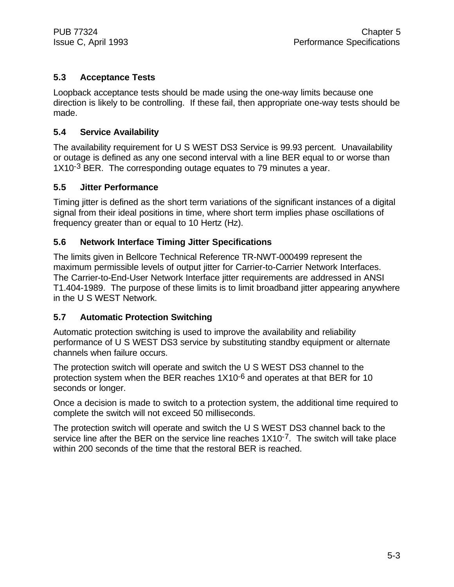#### **5.3 Acceptance Tests**

Loopback acceptance tests should be made using the one-way limits because one direction is likely to be controlling. If these fail, then appropriate one-way tests should be made.

#### **5.4 Service Availability**

The availability requirement for U S WEST DS3 Service is 99.93 percent. Unavailability or outage is defined as any one second interval with a line BER equal to or worse than 1X10<sup>-3</sup> BER. The corresponding outage equates to 79 minutes a year.

#### **5.5 Jitter Performance**

Timing jitter is defined as the short term variations of the significant instances of a digital signal from their ideal positions in time, where short term implies phase oscillations of frequency greater than or equal to 10 Hertz (Hz).

#### **5.6 Network Interface Timing Jitter Specifications**

The limits given in Bellcore Technical Reference TR-NWT-000499 represent the maximum permissible levels of output jitter for Carrier-to-Carrier Network Interfaces. The Carrier-to-End-User Network Interface jitter requirements are addressed in ANSI T1.404-1989. The purpose of these limits is to limit broadband jitter appearing anywhere in the U S WEST Network.

#### **5.7 Automatic Protection Switching**

Automatic protection switching is used to improve the availability and reliability performance of U S WEST DS3 service by substituting standby equipment or alternate channels when failure occurs.

The protection switch will operate and switch the U S WEST DS3 channel to the protection system when the BER reaches 1X10<sup>-6</sup> and operates at that BER for 10 seconds or longer.

Once a decision is made to switch to a protection system, the additional time required to complete the switch will not exceed 50 milliseconds.

The protection switch will operate and switch the U S WEST DS3 channel back to the service line after the BER on the service line reaches 1X10<sup>-7</sup>. The switch will take place within 200 seconds of the time that the restoral BER is reached.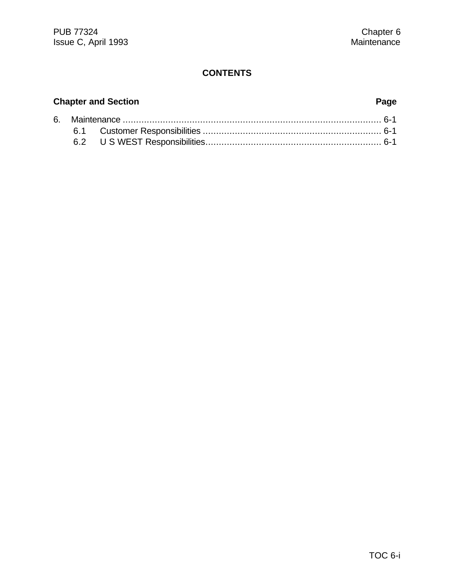#### **Chapter and Section Page**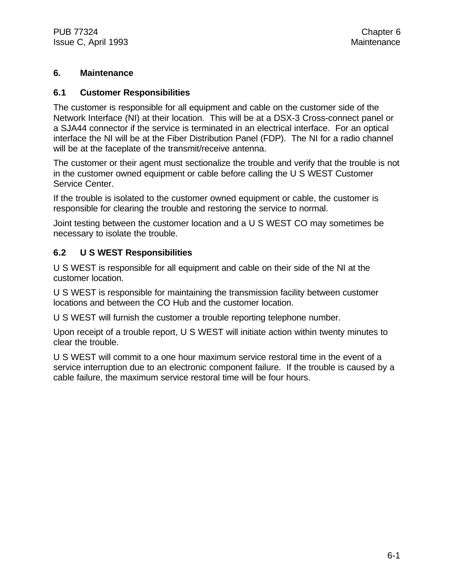#### **6. Maintenance**

#### **6.1 Customer Responsibilities**

The customer is responsible for all equipment and cable on the customer side of the Network Interface (NI) at their location. This will be at a DSX-3 Cross-connect panel or a SJA44 connector if the service is terminated in an electrical interface. For an optical interface the NI will be at the Fiber Distribution Panel (FDP). The NI for a radio channel will be at the faceplate of the transmit/receive antenna.

The customer or their agent must sectionalize the trouble and verify that the trouble is not in the customer owned equipment or cable before calling the U S WEST Customer Service Center.

If the trouble is isolated to the customer owned equipment or cable, the customer is responsible for clearing the trouble and restoring the service to normal.

Joint testing between the customer location and a U S WEST CO may sometimes be necessary to isolate the trouble.

#### **6.2 U S WEST Responsibilities**

U S WEST is responsible for all equipment and cable on their side of the NI at the customer location.

U S WEST is responsible for maintaining the transmission facility between customer locations and between the CO Hub and the customer location.

U S WEST will furnish the customer a trouble reporting telephone number.

Upon receipt of a trouble report, U S WEST will initiate action within twenty minutes to clear the trouble.

U S WEST will commit to a one hour maximum service restoral time in the event of a service interruption due to an electronic component failure. If the trouble is caused by a cable failure, the maximum service restoral time will be four hours.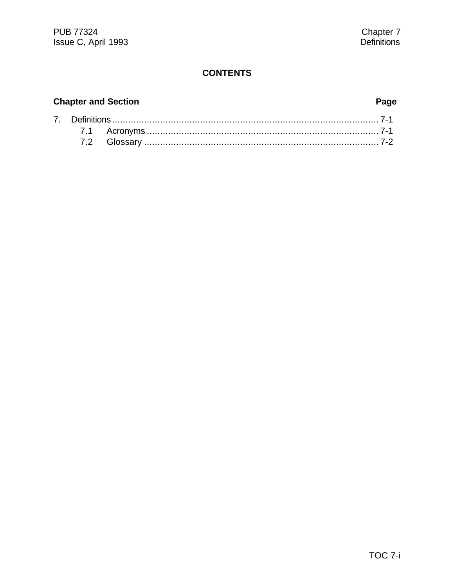#### **Chapter and Section**

#### Page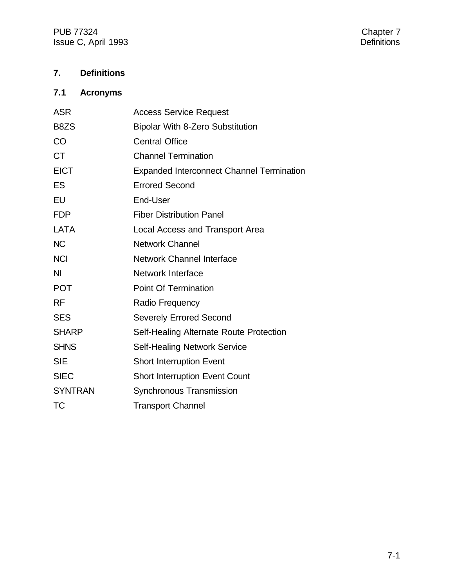PUB 77324 Chapter 7<br>
Issue C, April 1993 Chapter 7 Issue C, April 1993

#### **7. Definitions**

### **7.1 Acronyms**

| <b>ASR</b>     | <b>Access Service Request</b>                    |
|----------------|--------------------------------------------------|
| B8ZS           | <b>Bipolar With 8-Zero Substitution</b>          |
| CO             | <b>Central Office</b>                            |
| <b>CT</b>      | <b>Channel Termination</b>                       |
| <b>EICT</b>    | <b>Expanded Interconnect Channel Termination</b> |
| <b>ES</b>      | <b>Errored Second</b>                            |
| EU             | End-User                                         |
| <b>FDP</b>     | <b>Fiber Distribution Panel</b>                  |
| <b>LATA</b>    | Local Access and Transport Area                  |
| <b>NC</b>      | <b>Network Channel</b>                           |
| <b>NCI</b>     | Network Channel Interface                        |
| N <sub>l</sub> | <b>Network Interface</b>                         |
| <b>POT</b>     | <b>Point Of Termination</b>                      |
| <b>RF</b>      | Radio Frequency                                  |
| <b>SES</b>     | <b>Severely Errored Second</b>                   |
| <b>SHARP</b>   | Self-Healing Alternate Route Protection          |
| <b>SHNS</b>    | <b>Self-Healing Network Service</b>              |
| <b>SIE</b>     | <b>Short Interruption Event</b>                  |
| <b>SIEC</b>    | <b>Short Interruption Event Count</b>            |
| <b>SYNTRAN</b> | Synchronous Transmission                         |
| <b>TC</b>      | <b>Transport Channel</b>                         |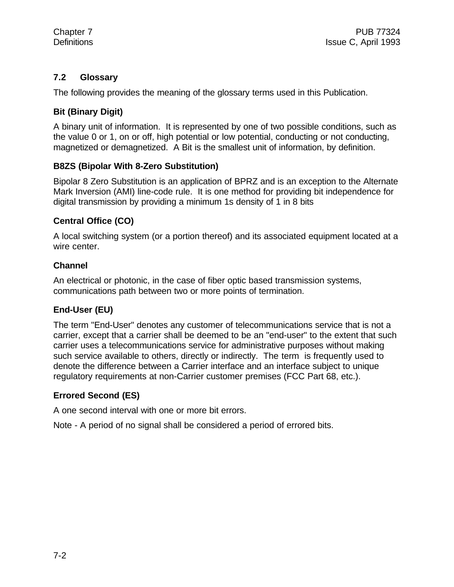#### **7.2 Glossary**

The following provides the meaning of the glossary terms used in this Publication.

#### **Bit (Binary Digit)**

A binary unit of information. It is represented by one of two possible conditions, such as the value 0 or 1, on or off, high potential or low potential, conducting or not conducting, magnetized or demagnetized. A Bit is the smallest unit of information, by definition.

#### **B8ZS (Bipolar With 8-Zero Substitution)**

Bipolar 8 Zero Substitution is an application of BPRZ and is an exception to the Alternate Mark Inversion (AMI) line-code rule. It is one method for providing bit independence for digital transmission by providing a minimum 1s density of 1 in 8 bits

#### **Central Office (CO)**

A local switching system (or a portion thereof) and its associated equipment located at a wire center.

#### **Channel**

An electrical or photonic, in the case of fiber optic based transmission systems, communications path between two or more points of termination.

#### **End-User (EU)**

The term "End-User" denotes any customer of telecommunications service that is not a carrier, except that a carrier shall be deemed to be an "end-user" to the extent that such carrier uses a telecommunications service for administrative purposes without making such service available to others, directly or indirectly. The term is frequently used to denote the difference between a Carrier interface and an interface subject to unique regulatory requirements at non-Carrier customer premises (FCC Part 68, etc.).

#### **Errored Second (ES)**

A one second interval with one or more bit errors.

Note - A period of no signal shall be considered a period of errored bits.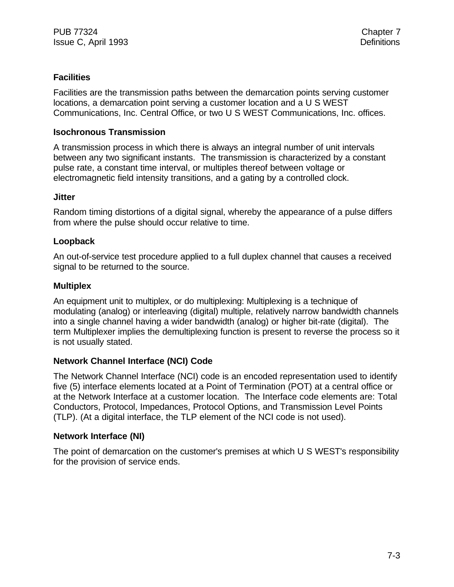#### **Facilities**

Facilities are the transmission paths between the demarcation points serving customer locations, a demarcation point serving a customer location and a U S WEST Communications, Inc. Central Office, or two U S WEST Communications, Inc. offices.

#### **Isochronous Transmission**

A transmission process in which there is always an integral number of unit intervals between any two significant instants. The transmission is characterized by a constant pulse rate, a constant time interval, or multiples thereof between voltage or electromagnetic field intensity transitions, and a gating by a controlled clock.

#### **Jitter**

Random timing distortions of a digital signal, whereby the appearance of a pulse differs from where the pulse should occur relative to time.

#### **Loopback**

An out-of-service test procedure applied to a full duplex channel that causes a received signal to be returned to the source.

#### **Multiplex**

An equipment unit to multiplex, or do multiplexing: Multiplexing is a technique of modulating (analog) or interleaving (digital) multiple, relatively narrow bandwidth channels into a single channel having a wider bandwidth (analog) or higher bit-rate (digital). The term Multiplexer implies the demultiplexing function is present to reverse the process so it is not usually stated.

#### **Network Channel Interface (NCI) Code**

The Network Channel Interface (NCI) code is an encoded representation used to identify five (5) interface elements located at a Point of Termination (POT) at a central office or at the Network Interface at a customer location. The Interface code elements are: Total Conductors, Protocol, Impedances, Protocol Options, and Transmission Level Points (TLP). (At a digital interface, the TLP element of the NCI code is not used).

#### **Network Interface (NI)**

The point of demarcation on the customer's premises at which U S WEST's responsibility for the provision of service ends.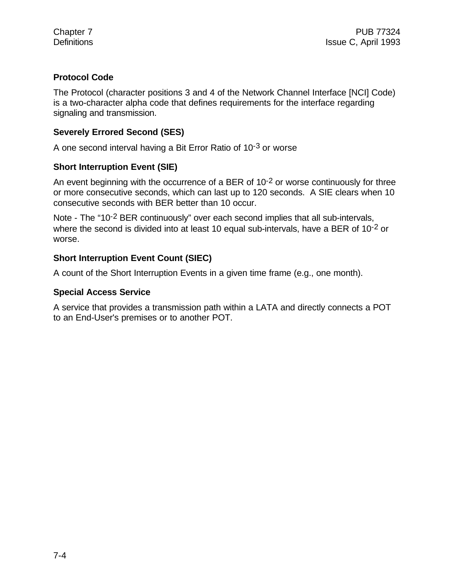#### **Protocol Code**

The Protocol (character positions 3 and 4 of the Network Channel Interface [NCI] Code) is a two-character alpha code that defines requirements for the interface regarding signaling and transmission.

#### **Severely Errored Second (SES)**

A one second interval having a Bit Error Ratio of 10-3 or worse

#### **Short Interruption Event (SIE)**

An event beginning with the occurrence of a BER of  $10^{-2}$  or worse continuously for three or more consecutive seconds, which can last up to 120 seconds. A SIE clears when 10 consecutive seconds with BER better than 10 occur.

Note - The "10<sup>-2</sup> BER continuously" over each second implies that all sub-intervals, where the second is divided into at least 10 equal sub-intervals, have a BER of 10<sup>-2</sup> or worse.

#### **Short Interruption Event Count (SIEC)**

A count of the Short Interruption Events in a given time frame (e.g., one month).

#### **Special Access Service**

A service that provides a transmission path within a LATA and directly connects a POT to an End-User's premises or to another POT.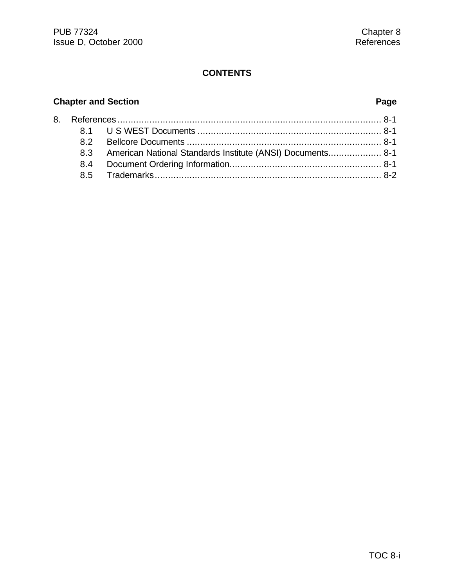### **Chapter and Section Page**

|  | 8.3 American National Standards Institute (ANSI) Documents 8-1 |  |
|--|----------------------------------------------------------------|--|
|  |                                                                |  |
|  |                                                                |  |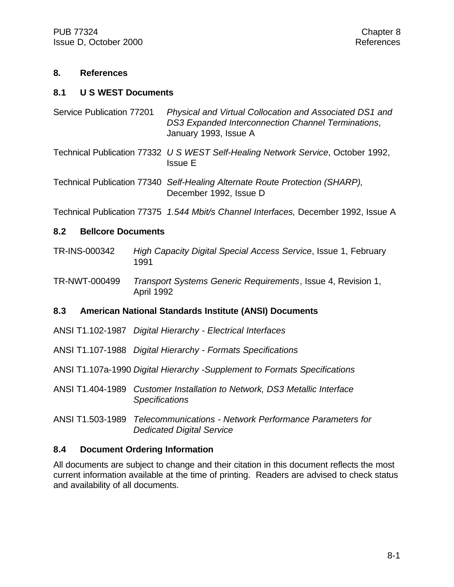#### **8. References**

#### **8.1 U S WEST Documents**

- Service Publication 77201 *Physical and Virtual Collocation and Associated DS1 and DS3 Expanded Interconnection Channel Terminations*, January 1993, Issue A
- Technical Publication 77332 *U S WEST Self-Healing Network Service*, October 1992, Issue E
- Technical Publication 77340 *Self-Healing Alternate Route Protection (SHARP),* December 1992, Issue D

Technical Publication 77375 *1.544 Mbit/s Channel Interfaces,* December 1992, Issue A

#### **8.2 Bellcore Documents**

- TR-INS-000342 *High Capacity Digital Special Access Service*, Issue 1, February 1991
- TR-NWT-000499 *Transport Systems Generic Requirements*, Issue 4, Revision 1, April 1992

#### **8.3 American National Standards Institute (ANSI) Documents**

- ANSI T1.102-1987 *Digital Hierarchy Electrical Interfaces*
- ANSI T1.107-1988 *Digital Hierarchy Formats Specifications*
- ANSI T1.107a-1990 *Digital Hierarchy -Supplement to Formats Specifications*
- ANSI T1.404-1989 *Customer Installation to Network, DS3 Metallic Interface Specifications*
- ANSI T1.503-1989 *Telecommunications Network Performance Parameters for Dedicated Digital Service*

#### **8.4 Document Ordering Information**

All documents are subject to change and their citation in this document reflects the most current information available at the time of printing. Readers are advised to check status and availability of all documents.